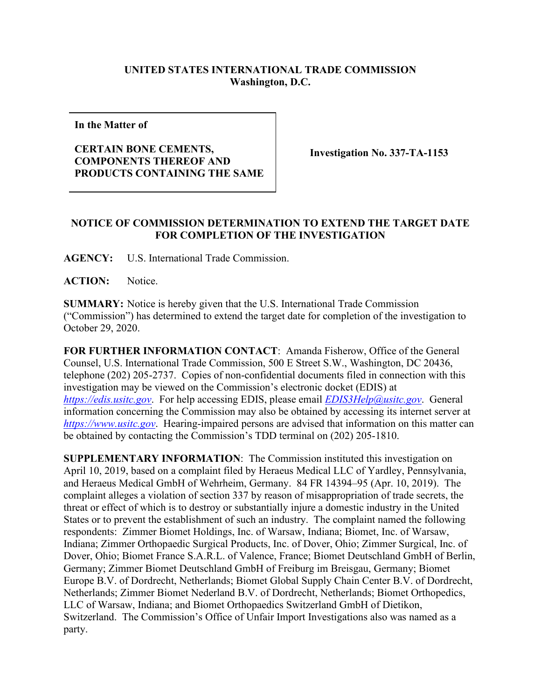## **UNITED STATES INTERNATIONAL TRADE COMMISSION Washington, D.C.**

**In the Matter of**

## **CERTAIN BONE CEMENTS, COMPONENTS THEREOF AND PRODUCTS CONTAINING THE SAME**

**Investigation No. 337-TA-1153**

## **NOTICE OF COMMISSION DETERMINATION TO EXTEND THE TARGET DATE FOR COMPLETION OF THE INVESTIGATION**

**AGENCY:** U.S. International Trade Commission.

ACTION: Notice.

**SUMMARY:** Notice is hereby given that the U.S. International Trade Commission ("Commission") has determined to extend the target date for completion of the investigation to October 29, 2020.

**FOR FURTHER INFORMATION CONTACT**: Amanda Fisherow, Office of the General Counsel, U.S. International Trade Commission, 500 E Street S.W., Washington, DC 20436, telephone (202) 205-2737. Copies of non-confidential documents filed in connection with this investigation may be viewed on the Commission's electronic docket (EDIS) at *[https://edis.usitc.gov](https://edis.usitc.gov/)*. For help accessing EDIS, please email *EDIS3Help@usitc.gov*. General information concerning the Commission may also be obtained by accessing its internet server at *[https://www.usitc.gov](https://www.usitc.gov/)*. Hearing-impaired persons are advised that information on this matter can be obtained by contacting the Commission's TDD terminal on (202) 205-1810.

**SUPPLEMENTARY INFORMATION**: The Commission instituted this investigation on April 10, 2019, based on a complaint filed by Heraeus Medical LLC of Yardley, Pennsylvania, and Heraeus Medical GmbH of Wehrheim, Germany. 84 FR 14394–95 (Apr. 10, 2019). The complaint alleges a violation of section 337 by reason of misappropriation of trade secrets, the threat or effect of which is to destroy or substantially injure a domestic industry in the United States or to prevent the establishment of such an industry. The complaint named the following respondents: Zimmer Biomet Holdings, Inc. of Warsaw, Indiana; Biomet, Inc. of Warsaw, Indiana; Zimmer Orthopaedic Surgical Products, Inc. of Dover, Ohio; Zimmer Surgical, Inc. of Dover, Ohio; Biomet France S.A.R.L. of Valence, France; Biomet Deutschland GmbH of Berlin, Germany; Zimmer Biomet Deutschland GmbH of Freiburg im Breisgau, Germany; Biomet Europe B.V. of Dordrecht, Netherlands; Biomet Global Supply Chain Center B.V. of Dordrecht, Netherlands; Zimmer Biomet Nederland B.V. of Dordrecht, Netherlands; Biomet Orthopedics, LLC of Warsaw, Indiana; and Biomet Orthopaedics Switzerland GmbH of Dietikon, Switzerland. The Commission's Office of Unfair Import Investigations also was named as a party.